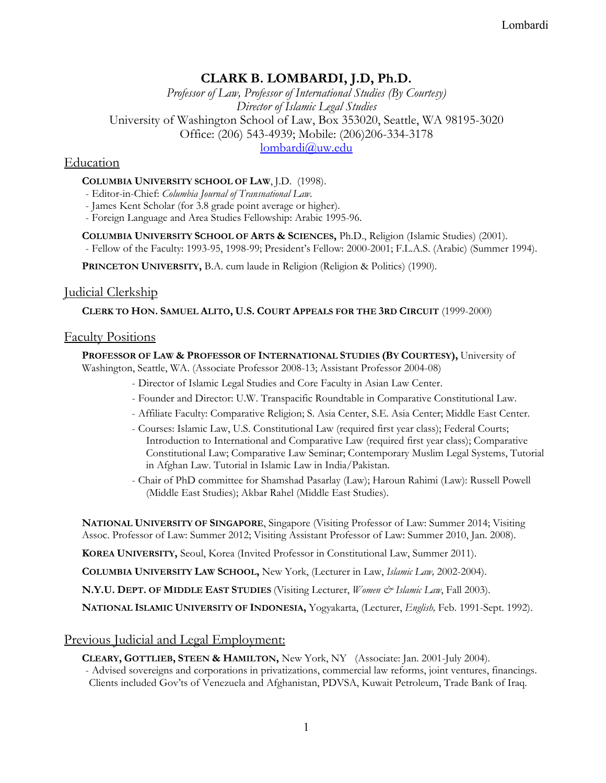# Lombardi

# **CLARK B. LOMBARDI, J.D, Ph.D.**

*Professor of Law, Professor of International Studies (By Courtesy) Director of Islamic Legal Studies*  University of Washington School of Law, Box 353020, Seattle, WA 98195-3020 Office: (206) 543-4939; Mobile: (206)206-334-3178 lombardi@uw.edu

# **Education**

## **COLUMBIA UNIVERSITY SCHOOL OF LAW**, J.D. (1998).

- Editor-in-Chief: *Columbia Journal of Transnational Law*.

- James Kent Scholar (for 3.8 grade point average or higher).

- Foreign Language and Area Studies Fellowship: Arabic 1995-96.

**COLUMBIA UNIVERSITY SCHOOL OF ARTS & SCIENCES,** Ph.D., Religion (Islamic Studies) (2001).

- Fellow of the Faculty: 1993-95, 1998-99; President's Fellow: 2000-2001; F.L.A.S. (Arabic) (Summer 1994).

**PRINCETON UNIVERSITY,** B.A. cum laude in Religion (Religion & Politics) (1990).

# Judicial Clerkship

**CLERK TO HON. SAMUEL ALITO, U.S. COURT APPEALS FOR THE 3RD CIRCUIT** (1999-2000)

## Faculty Positions

# **PROFESSOR OF LAW & PROFESSOR OF INTERNATIONAL STUDIES (BY COURTESY),** University of

Washington, Seattle, WA. (Associate Professor 2008-13; Assistant Professor 2004-08)

- Director of Islamic Legal Studies and Core Faculty in Asian Law Center.
- Founder and Director: U.W. Transpacific Roundtable in Comparative Constitutional Law.
- Affiliate Faculty: Comparative Religion; S. Asia Center, S.E. Asia Center; Middle East Center.
- Courses: Islamic Law, U.S. Constitutional Law (required first year class); Federal Courts; Introduction to International and Comparative Law (required first year class); Comparative Constitutional Law; Comparative Law Seminar; Contemporary Muslim Legal Systems, Tutorial in Afghan Law. Tutorial in Islamic Law in India/Pakistan.
- Chair of PhD committee for Shamshad Pasarlay (Law); Haroun Rahimi (Law): Russell Powell (Middle East Studies); Akbar Rahel (Middle East Studies).

**NATIONAL UNIVERSITY OF SINGAPORE**, Singapore (Visiting Professor of Law: Summer 2014; Visiting Assoc. Professor of Law: Summer 2012; Visiting Assistant Professor of Law: Summer 2010, Jan. 2008).

**KOREA UNIVERSITY,** Seoul, Korea (Invited Professor in Constitutional Law, Summer 2011).

**COLUMBIA UNIVERSITY LAW SCHOOL,** New York, (Lecturer in Law, *Islamic Law,* 2002-2004).

**N.Y.U. DEPT. OF MIDDLE EAST STUDIES** (Visiting Lecturer, *Women & Islamic Law*, Fall 2003).

**NATIONAL ISLAMIC UNIVERSITY OF INDONESIA,** Yogyakarta, (Lecturer, *English,* Feb. 1991-Sept. 1992).

# Previous Judicial and Legal Employment:

**CLEARY, GOTTLIEB, STEEN & HAMILTON,** New York, NY (Associate: Jan. 2001-July 2004).

- Advised sovereigns and corporations in privatizations, commercial law reforms, joint ventures, financings. Clients included Gov'ts of Venezuela and Afghanistan, PDVSA, Kuwait Petroleum, Trade Bank of Iraq.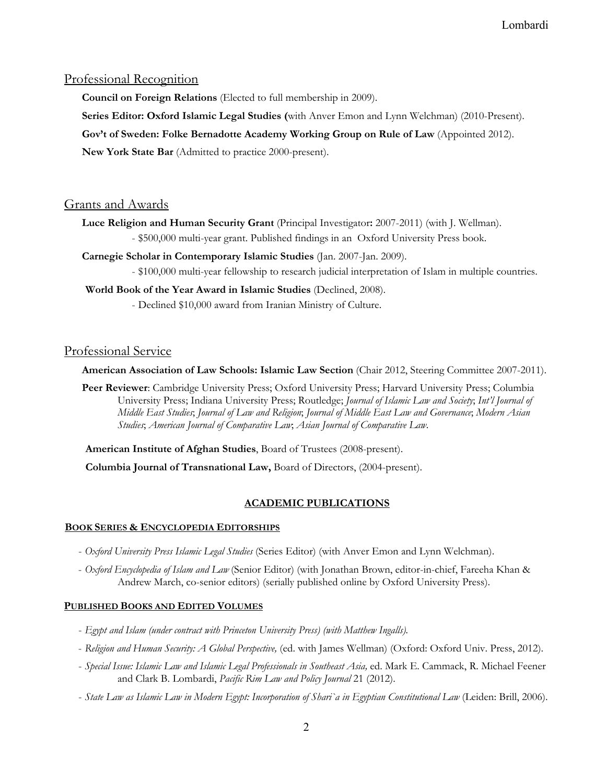## Professional Recognition

**Council on Foreign Relations** (Elected to full membership in 2009).

**Series Editor: Oxford Islamic Legal Studies (**with Anver Emon and Lynn Welchman) (2010-Present).

**Gov't of Sweden: Folke Bernadotte Academy Working Group on Rule of Law** (Appointed 2012).

**New York State Bar** (Admitted to practice 2000-present).

# Grants and Awards

**Luce Religion and Human Security Grant** (Principal Investigator**:** 2007-2011) (with J. Wellman).

- \$500,000 multi-year grant. Published findings in an Oxford University Press book.

**Carnegie Scholar in Contemporary Islamic Studies** (Jan. 2007-Jan. 2009).

- \$100,000 multi-year fellowship to research judicial interpretation of Islam in multiple countries.

**World Book of the Year Award in Islamic Studies** (Declined, 2008).

- Declined \$10,000 award from Iranian Ministry of Culture.

# Professional Service

**American Association of Law Schools: Islamic Law Section** (Chair 2012, Steering Committee 2007-2011).

**Peer Reviewer**: Cambridge University Press; Oxford University Press; Harvard University Press; Columbia University Press; Indiana University Press; Routledge; *Journal of Islamic Law and Society*; *Int'l Journal of Middle East Studies*; *Journal of Law and Religion*; *Journal of Middle East Law and Governance*; *Modern Asian Studies*; *American Journal of Comparative Law*; *Asian Journal of Comparative Law*.

**American Institute of Afghan Studies**, Board of Trustees (2008-present).

**Columbia Journal of Transnational Law,** Board of Directors, (2004-present).

# **ACADEMIC PUBLICATIONS**

## **BOOK SERIES & ENCYCLOPEDIA EDITORSHIPS**

- *Oxford University Press Islamic Legal Studies* (Series Editor) (with Anver Emon and Lynn Welchman).
- *Oxford Encyclopedia of Islam and Law* (Senior Editor) (with Jonathan Brown, editor-in-chief, Fareeha Khan & Andrew March, co-senior editors) (serially published online by Oxford University Press).

# **PUBLISHED BOOKS AND EDITED VOLUMES**

- *Egypt and Islam (under contract with Princeton University Press) (with Matthew Ingalls).*
- *Religion and Human Security: A Global Perspective,* (ed. with James Wellman) (Oxford: Oxford Univ. Press, 2012).
- *Special Issue: Islamic Law and Islamic Legal Professionals in Southeast Asia,* ed. Mark E. Cammack, R. Michael Feener and Clark B. Lombardi, *Pacific Rim Law and Policy Journal* 21 (2012).
- *State Law as Islamic Law in Modern Egypt: Incorporation of Shari`a in Egyptian Constitutional Law* (Leiden: Brill, 2006).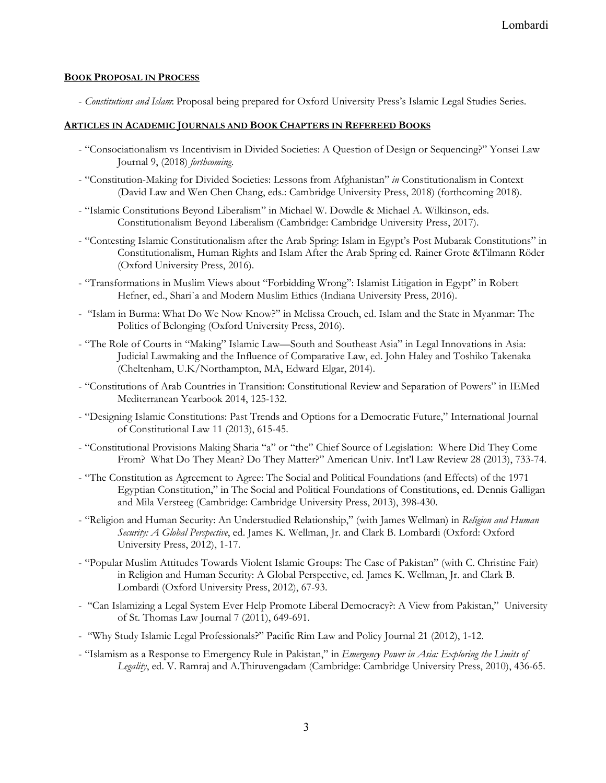### **BOOK PROPOSAL IN PROCESS**

- *Constitutions and Islam*: Proposal being prepared for Oxford University Press's Islamic Legal Studies Series.

## **ARTICLES IN ACADEMIC JOURNALS AND BOOK CHAPTERS IN REFEREED BOOKS**

- "Consociationalism vs Incentivism in Divided Societies: A Question of Design or Sequencing?" Yonsei Law Journal 9, (2018) *forthcoming*.
- "Constitution-Making for Divided Societies: Lessons from Afghanistan" *in* Constitutionalism in Context (David Law and Wen Chen Chang, eds.: Cambridge University Press, 2018) (forthcoming 2018).
- "Islamic Constitutions Beyond Liberalism" in Michael W. Dowdle & Michael A. Wilkinson, eds. Constitutionalism Beyond Liberalism (Cambridge: Cambridge University Press, 2017).
- "Contesting Islamic Constitutionalism after the Arab Spring: Islam in Egypt's Post Mubarak Constitutions" in Constitutionalism, Human Rights and Islam After the Arab Spring ed. Rainer Grote &Tilmann Röder (Oxford University Press, 2016).
- "Transformations in Muslim Views about "Forbidding Wrong": Islamist Litigation in Egypt" in Robert Hefner, ed., Shari`a and Modern Muslim Ethics (Indiana University Press, 2016).
- "Islam in Burma: What Do We Now Know?" in Melissa Crouch, ed. Islam and the State in Myanmar: The Politics of Belonging (Oxford University Press, 2016).
- "The Role of Courts in "Making" Islamic Law—South and Southeast Asia" in Legal Innovations in Asia: Judicial Lawmaking and the Influence of Comparative Law, ed. John Haley and Toshiko Takenaka (Cheltenham, U.K/Northampton, MA, Edward Elgar, 2014).
- "Constitutions of Arab Countries in Transition: Constitutional Review and Separation of Powers" in IEMed Mediterranean Yearbook 2014, 125-132.
- "Designing Islamic Constitutions: Past Trends and Options for a Democratic Future," International Journal of Constitutional Law 11 (2013), 615-45.
- "Constitutional Provisions Making Sharia "a" or "the" Chief Source of Legislation: Where Did They Come From? What Do They Mean? Do They Matter?" American Univ. Int'l Law Review 28 (2013), 733-74.
- "The Constitution as Agreement to Agree: The Social and Political Foundations (and Effects) of the 1971 Egyptian Constitution," in The Social and Political Foundations of Constitutions, ed. Dennis Galligan and Mila Versteeg (Cambridge: Cambridge University Press, 2013), 398-430.
- "Religion and Human Security: An Understudied Relationship," (with James Wellman) in *Religion and Human Security: A Global Perspective*, ed. James K. Wellman, Jr. and Clark B. Lombardi (Oxford: Oxford University Press, 2012), 1-17.
- "Popular Muslim Attitudes Towards Violent Islamic Groups: The Case of Pakistan" (with C. Christine Fair) in Religion and Human Security: A Global Perspective, ed. James K. Wellman, Jr. and Clark B. Lombardi (Oxford University Press, 2012), 67-93.
- "Can Islamizing a Legal System Ever Help Promote Liberal Democracy?: A View from Pakistan," University of St. Thomas Law Journal 7 (2011), 649-691.
- "Why Study Islamic Legal Professionals?" Pacific Rim Law and Policy Journal 21 (2012), 1-12.
- "Islamism as a Response to Emergency Rule in Pakistan," in *Emergency Power in Asia: Exploring the Limits of Legality*, ed. V. Ramraj and A.Thiruvengadam (Cambridge: Cambridge University Press, 2010), 436-65.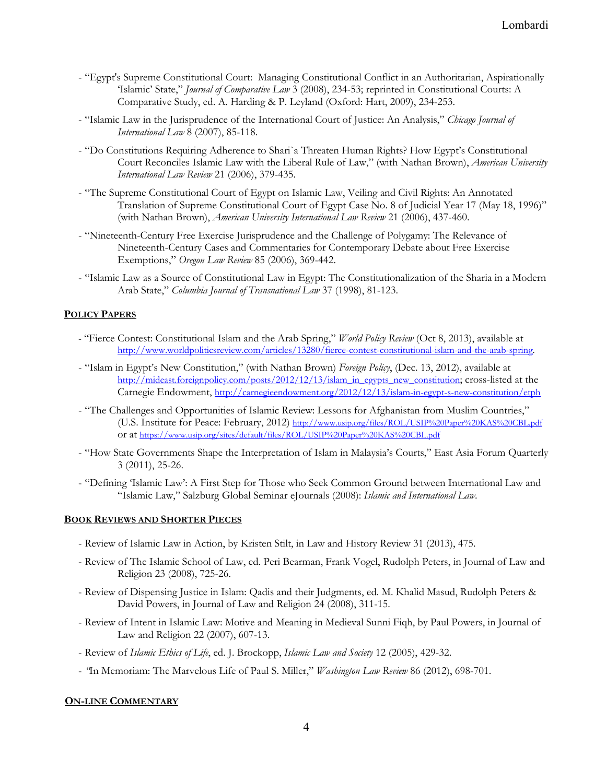- "Egypt's Supreme Constitutional Court: Managing Constitutional Conflict in an Authoritarian, Aspirationally 'Islamic' State," *Journal of Comparative Law* 3 (2008), 234-53; reprinted in Constitutional Courts: A Comparative Study, ed. A. Harding & P. Leyland (Oxford: Hart, 2009), 234-253.
- "Islamic Law in the Jurisprudence of the International Court of Justice: An Analysis," *Chicago Journal of International Law* 8 (2007), 85-118.
- "Do Constitutions Requiring Adherence to Shari`a Threaten Human Rights? How Egypt's Constitutional Court Reconciles Islamic Law with the Liberal Rule of Law," (with Nathan Brown), *American University International Law Review* 21 (2006), 379-435.
- "The Supreme Constitutional Court of Egypt on Islamic Law, Veiling and Civil Rights: An Annotated Translation of Supreme Constitutional Court of Egypt Case No. 8 of Judicial Year 17 (May 18, 1996)" (with Nathan Brown), *American University International Law Review* 21 (2006), 437-460.
- "Nineteenth-Century Free Exercise Jurisprudence and the Challenge of Polygamy: The Relevance of Nineteenth-Century Cases and Commentaries for Contemporary Debate about Free Exercise Exemptions," *Oregon Law Review* 85 (2006), 369-442.
- "Islamic Law as a Source of Constitutional Law in Egypt: The Constitutionalization of the Sharia in a Modern Arab State," *Columbia Journal of Transnational Law* 37 (1998), 81-123.

### **POLICY PAPERS**

- "Fierce Contest: Constitutional Islam and the Arab Spring," *World Policy Review* (Oct 8, 2013), available at http://www.worldpoliticsreview.com/articles/13280/fierce-contest-constitutional-islam-and-the-arab-spring.
- "Islam in Egypt's New Constitution," (with Nathan Brown) *Foreign Policy*, (Dec. 13, 2012), available at http://mideast.foreignpolicy.com/posts/2012/12/13/islam\_in\_egypts\_new\_constitution; cross-listed at the Carnegie Endowment, http://carnegieendowment.org/2012/12/13/islam-in-egypt-s-new-constitution/etph
- "The Challenges and Opportunities of Islamic Review: Lessons for Afghanistan from Muslim Countries," (U.S. Institute for Peace: February, 2012) http://www.usip.org/files/ROL/USIP%20Paper%20KAS%20CBL.pdf or at https://www.usip.org/sites/default/files/ROL/USIP%20Paper%20KAS%20CBL.pdf
- "How State Governments Shape the Interpretation of Islam in Malaysia's Courts," East Asia Forum Quarterly 3 (2011), 25-26.
- "Defining 'Islamic Law': A First Step for Those who Seek Common Ground between International Law and "Islamic Law," Salzburg Global Seminar eJournals (2008): *Islamic and International Law*.

#### **BOOK REVIEWS AND SHORTER PIECES**

- Review of Islamic Law in Action, by Kristen Stilt, in Law and History Review 31 (2013), 475.
- Review of The Islamic School of Law, ed. Peri Bearman, Frank Vogel, Rudolph Peters, in Journal of Law and Religion 23 (2008), 725-26.
- Review of Dispensing Justice in Islam: Qadis and their Judgments, ed. M. Khalid Masud, Rudolph Peters & David Powers, in Journal of Law and Religion 24 (2008), 311-15.
- Review of Intent in Islamic Law: Motive and Meaning in Medieval Sunni Fiqh, by Paul Powers, in Journal of Law and Religion 22 (2007), 607-13.
- Review of *Islamic Ethics of Life*, ed. J. Brockopp, *Islamic Law and Society* 12 (2005), 429-32.
- *"*In Memoriam: The Marvelous Life of Paul S. Miller," *Washington Law Review* 86 (2012), 698-701.

#### **ON-LINE COMMENTARY**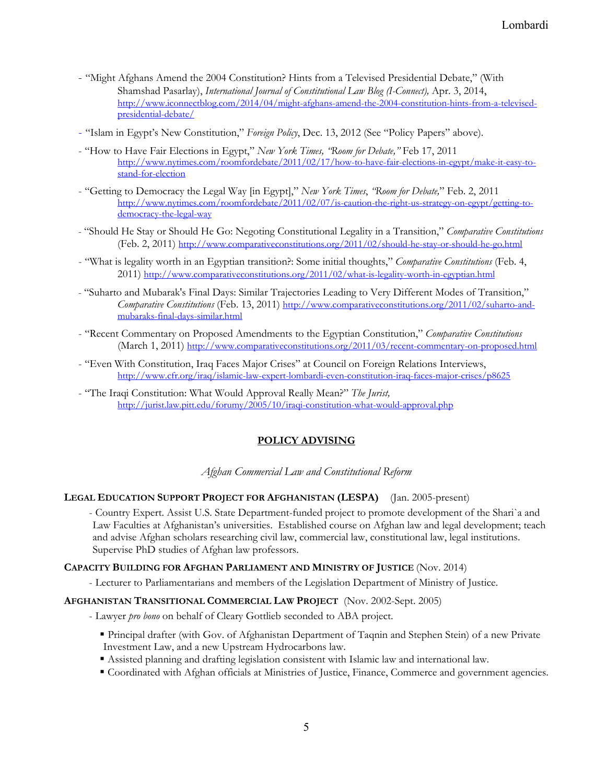- "Might Afghans Amend the 2004 Constitution? Hints from a Televised Presidential Debate," (With Shamshad Pasarlay), *International Journal of Constitutional Law Blog (I-Connect)*, Apr. 3, 2014,<br>http://www.iconnectblog.com/2014/04/might-afghans-amend-the-2004-constitution-hints-from-a-televisedpresidential-debate/
- "Islam in Egypt's New Constitution," *Foreign Policy*, Dec. 13, 2012 (See "Policy Papers" above).
- "How to Have Fair Elections in Egypt," *New York Times, "Room for Debate,"* Feb 17, 2011 http://www.nytimes.com/roomfordebate/2011/02/17/how-to-have-fair-elections-in-egypt/make-it-easy-tostand-for-election
- "Getting to Democracy the Legal Way [in Egypt]," *New York Times*, *"Room for Debate,*" Feb. 2, 2011 http://www.nytimes.com/roomfordebate/2011/02/07/is-caution-the-right-us-strategy-on-egypt/getting-todemocracy-the-legal-way
- "Should He Stay or Should He Go: Negoting Constitutional Legality in a Transition," *Comparative Constitutions* (Feb. 2, 2011) http://www.comparativeconstitutions.org/2011/02/should-he-stay-or-should-he-go.html
- "What is legality worth in an Egyptian transition?: Some initial thoughts," *Comparative Constitutions* (Feb. 4, 2011) http://www.comparativeconstitutions.org/2011/02/what-is-legality-worth-in-egyptian.html
- "Suharto and Mubarak's Final Days: Similar Trajectories Leading to Very Different Modes of Transition," *Comparative Constitutions* (Feb. 13, 2011) http://www.comparativeconstitutions.org/2011/02/suharto-andmubaraks-final-days-similar.html
- "Recent Commentary on Proposed Amendments to the Egyptian Constitution," *Comparative Constitutions* (March 1, 2011) http://www.comparativeconstitutions.org/2011/03/recent-commentary-on-proposed.html
- "Even With Constitution, Iraq Faces Major Crises" at Council on Foreign Relations Interviews, http://www.cfr.org/iraq/islamic-law-expert-lombardi-even-constitution-iraq-faces-major-crises/p8625
- "The Iraqi Constitution: What Would Approval Really Mean?" *The Jurist,* http://jurist.law.pitt.edu/forumy/2005/10/iraqi-constitution-what-would-approval.php

# **POLICY ADVISING**

*Afghan Commercial Law and Constitutional Reform* 

## **LEGAL EDUCATION SUPPORT PROJECT FOR AFGHANISTAN (LESPA)** (Jan. 2005-present)

- Country Expert. Assist U.S. State Department-funded project to promote development of the Shari`a and Law Faculties at Afghanistan's universities. Established course on Afghan law and legal development; teach and advise Afghan scholars researching civil law, commercial law, constitutional law, legal institutions. Supervise PhD studies of Afghan law professors.

#### **CAPACITY BUILDING FOR AFGHAN PARLIAMENT AND MINISTRY OF JUSTICE** (Nov. 2014)

- Lecturer to Parliamentarians and members of the Legislation Department of Ministry of Justice.

#### **AFGHANISTAN TRANSITIONAL COMMERCIAL LAW PROJECT** (Nov. 2002-Sept. 2005)

- Lawyer *pro bono* on behalf of Cleary Gottlieb seconded to ABA project.
	- Principal drafter (with Gov. of Afghanistan Department of Taqnin and Stephen Stein) of a new Private Investment Law, and a new Upstream Hydrocarbons law.
	- Assisted planning and drafting legislation consistent with Islamic law and international law.
	- Coordinated with Afghan officials at Ministries of Justice, Finance, Commerce and government agencies.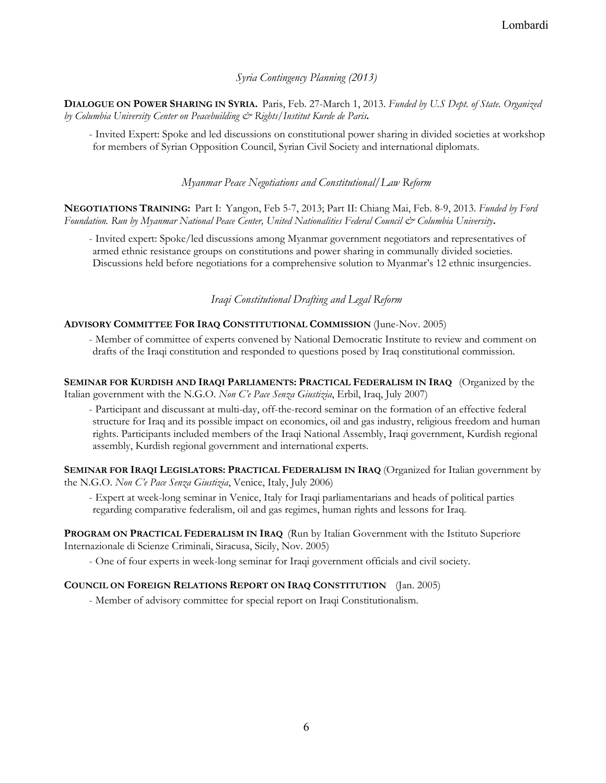## *Syria Contingency Planning (2013)*

**DIALOGUE ON POWER SHARING IN SYRIA.** Paris, Feb. 27-March 1, 2013. *Funded by U.S Dept. of State. Organized by Columbia University Center on Peacebuilding & Rights/Institut Kurde de Paris***.** 

- Invited Expert: Spoke and led discussions on constitutional power sharing in divided societies at workshop for members of Syrian Opposition Council, Syrian Civil Society and international diplomats.

*Myanmar Peace Negotiations and Constitutional/Law Reform* 

**NEGOTIATIONS TRAINING:** Part I:Yangon, Feb 5-7, 2013; Part II: Chiang Mai, Feb. 8-9, 2013. *Funded by Ford Foundation. Run by Myanmar National Peace Center, United Nationalities Federal Council & Columbia University***.**

- Invited expert: Spoke/led discussions among Myanmar government negotiators and representatives of armed ethnic resistance groups on constitutions and power sharing in communally divided societies. Discussions held before negotiations for a comprehensive solution to Myanmar's 12 ethnic insurgencies.

### *Iraqi Constitutional Drafting and Legal Reform*

#### **ADVISORY COMMITTEE FOR IRAQ CONSTITUTIONAL COMMISSION** (June-Nov. 2005)

- Member of committee of experts convened by National Democratic Institute to review and comment on drafts of the Iraqi constitution and responded to questions posed by Iraq constitutional commission.

**SEMINAR FOR KURDISH AND IRAQI PARLIAMENTS: PRACTICAL FEDERALISM IN IRAQ** (Organized by the Italian government with the N.G.O. *Non C'e Pace Senza Giustizia*, Erbil, Iraq, July 2007)

- Participant and discussant at multi-day, off-the-record seminar on the formation of an effective federal structure for Iraq and its possible impact on economics, oil and gas industry, religious freedom and human rights. Participants included members of the Iraqi National Assembly, Iraqi government, Kurdish regional assembly, Kurdish regional government and international experts.

**SEMINAR FOR IRAQI LEGISLATORS: PRACTICAL FEDERALISM IN IRAQ** (Organized for Italian government by the N.G.O. *Non C'e Pace Senza Giustizia*, Venice, Italy, July 2006)

- Expert at week-long seminar in Venice, Italy for Iraqi parliamentarians and heads of political parties regarding comparative federalism, oil and gas regimes, human rights and lessons for Iraq.

**PROGRAM ON PRACTICAL FEDERALISM IN IRAQ** (Run by Italian Government with the Istituto Superiore Internazionale di Scienze Criminali, Siracusa, Sicily, Nov. 2005)

- One of four experts in week-long seminar for Iraqi government officials and civil society.

#### **COUNCIL ON FOREIGN RELATIONS REPORT ON IRAQ CONSTITUTION** (Jan. 2005)

- Member of advisory committee for special report on Iraqi Constitutionalism.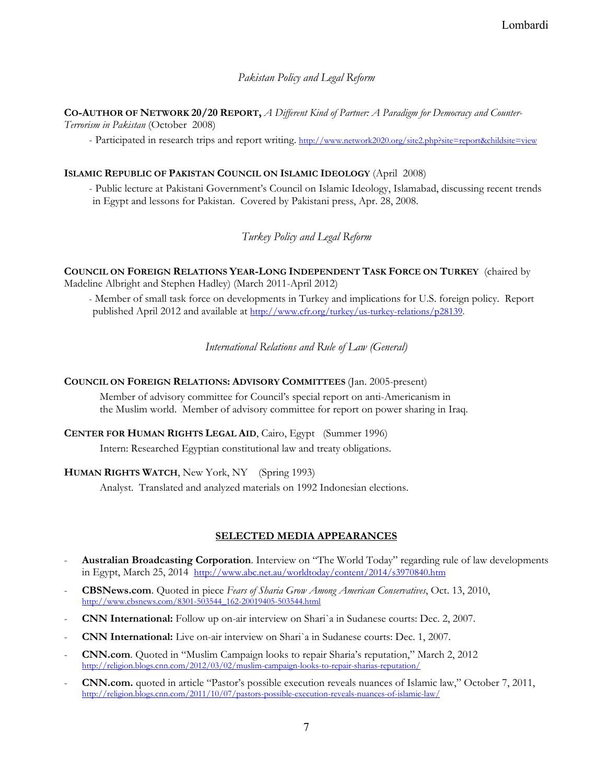*Pakistan Policy and Legal Reform* 

**CO-AUTHOR OF NETWORK 20/20 REPORT,** *A Different Kind of Partner: A Paradigm for Democracy and Counter-*

*Terrorism in Pakistan* (October 2008)

- Participated in research trips and report writing. http://www.network2020.org/site2.php?site=report&childsite=view

# **ISLAMIC REPUBLIC OF PAKISTAN COUNCIL ON ISLAMIC IDEOLOGY** (April 2008)

- Public lecture at Pakistani Government's Council on Islamic Ideology, Islamabad, discussing recent trends in Egypt and lessons for Pakistan. Covered by Pakistani press, Apr. 28, 2008.

# *Turkey Policy and Legal Reform*

**COUNCIL ON FOREIGN RELATIONS YEAR-LONG INDEPENDENT TASK FORCE ON TURKEY** (chaired by Madeline Albright and Stephen Hadley) (March 2011-April 2012)

- Member of small task force on developments in Turkey and implications for U.S. foreign policy. Report published April 2012 and available at http://www.cfr.org/turkey/us-turkey-relations/p28139.

*International Relations and Rule of Law (General)* 

**COUNCIL ON FOREIGN RELATIONS: ADVISORY COMMITTEES** (Jan. 2005-present)

Member of advisory committee for Council's special report on anti-Americanism in the Muslim world. Member of advisory committee for report on power sharing in Iraq.

**CENTER FOR HUMAN RIGHTS LEGAL AID**, Cairo, Egypt (Summer 1996) Intern: Researched Egyptian constitutional law and treaty obligations.

**HUMAN RIGHTS WATCH**, New York, NY (Spring 1993)

Analyst. Translated and analyzed materials on 1992 Indonesian elections.

# **SELECTED MEDIA APPEARANCES**

- **Australian Broadcasting Corporation**. Interview on "The World Today" regarding rule of law developments in Egypt, March 25, 2014 http://www.abc.net.au/worldtoday/content/2014/s3970840.htm
- **CBSNews.com**. Quoted in piece *Fears of Sharia Grow Among American Conservatives*, Oct. 13, 2010, http://www.cbsnews.com/8301-503544\_162-20019405-503544.html
- **CNN International:** Follow up on-air interview on Shari`a in Sudanese courts: Dec. 2, 2007.
- **CNN International:** Live on-air interview on Shari`a in Sudanese courts: Dec. 1, 2007.
- **CNN.com**. Quoted in "Muslim Campaign looks to repair Sharia's reputation," March 2, 2012 http://religion.blogs.cnn.com/2012/03/02/muslim-campaign-looks-to-repair-sharias-reputation/
- **CNN.com.** quoted in article "Pastor's possible execution reveals nuances of Islamic law," October 7, 2011, http://religion.blogs.cnn.com/2011/10/07/pastors-possible-execution-reveals-nuances-of-islamic-law/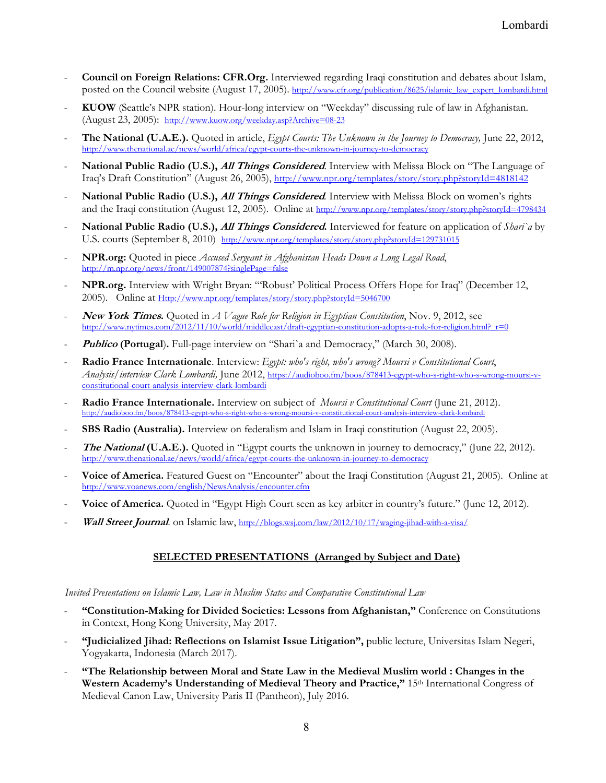- **Council on Foreign Relations: CFR.Org.** Interviewed regarding Iraqi constitution and debates about Islam, posted on the Council website (August 17, 2005). http://www.cfr.org/publication/8625/islamic\_law\_expert\_lombardi.html
- **KUOW** (Seattle's NPR station). Hour-long interview on "Weekday" discussing rule of law in Afghanistan. (August 23, 2005): http://www.kuow.org/weekday.asp?Archive=08-23
- **The National (U.A.E.).** Quoted in article, *Egypt Courts: The Unknown in the Journey to Democracy,* June 22, 2012, http://www.thenational.ae/news/world/africa/egypt-courts-the-unknown-in-journey-to-democracy
- **National Public Radio (U.S.),** *All Things Considered*. Interview with Melissa Block on "The Language of Iraq's Draft Constitution" (August 26, 2005), http://www.npr.org/templates/story/story.php?storyId=4818142
- **National Public Radio (U.S.),** *All Things Considered*. Interview with Melissa Block on women's rights and the Iraqi constitution (August 12, 2005). Online at http://www.npr.org/templates/story/story.php?storyId=4798434
- **National Public Radio (U.S.), All Things Considered.** Interviewed for feature on application of *Shari`a* by U.S. courts (September 8, 2010) http://www.npr.org/templates/story/story.php?storyId=129731015
- **NPR.org:** Quoted in piece *Accused Sergeant in Afghanistan Heads Down a Long Legal Road*, http://m.npr.org/news/front/149007874?singlePage=false
- **NPR.org.** Interview with Wright Bryan: "'Robust' Political Process Offers Hope for Iraq" (December 12, 2005). Online at Http://www.npr.org/templates/story/story.php?storyId=5046700
- **New York Times.** Quoted in *A Vague Role for Religion in Egyptian Constitution*, Nov. 9, 2012, see http://www.nytimes.com/2012/11/10/world/middleeast/draft-egyptian-constitution-adopts-a-role-for-religion.html?\_r=0
- **Publico** (Portugal). Full-page interview on "Shari`a and Democracy," (March 30, 2008).
- **Radio France Internationale**. Interview: *Egypt: who's right, who's wrong? Moursi v Constitutional Court*, *Analysis/interview Clark Lombardi,* June 2012, https://audioboo.fm/boos/878413-egypt-who-s-right-who-s-wrong-moursi-vconstitutional-court-analysis-interview-clark-lombardi
- **Radio France Internationale.** Interview on subject of *Moursi v Constitutional Court* (June 21, 2012). http://audioboo.fm/boos/878413-egypt-who-s-right-who-s-wrong-moursi-v-constitutional-court-analysis-interview-clark-lombardient-
- **SBS Radio (Australia).** Interview on federalism and Islam in Iraqi constitution (August 22, 2005).
- **The National (U.A.E.).** Quoted in "Egypt courts the unknown in journey to democracy," (June 22, 2012). http://www.thenational.ae/news/world/africa/egypt-courts-the-unknown-in-journey-to-democracy
- **Voice of America.** Featured Guest on "Encounter" about the Iraqi Constitution (August 21, 2005). Online at http://www.voanews.com/english/NewsAnalysis/encounter.cfm
- **Voice of America.** Quoted in "Egypt High Court seen as key arbiter in country's future." (June 12, 2012).
- **Wall Street Journal**. on Islamic law, http://blogs.wsj.com/law/2012/10/17/waging-jihad-with-a-visa/

## **SELECTED PRESENTATIONS (Arranged by Subject and Date)**

*Invited Presentations on Islamic Law, Law in Muslim States and Comparative Constitutional Law* 

- **"Constitution-Making for Divided Societies: Lessons from Afghanistan,"** Conference on Constitutions in Context, Hong Kong University, May 2017.
- **"Judicialized Jihad: Reflections on Islamist Issue Litigation",** public lecture, Universitas Islam Negeri, Yogyakarta, Indonesia (March 2017).
- **"The Relationship between Moral and State Law in the Medieval Muslim world : Changes in the Western Academy's Understanding of Medieval Theory and Practice,"** 15th International Congress of Medieval Canon Law, University Paris II (Pantheon), July 2016.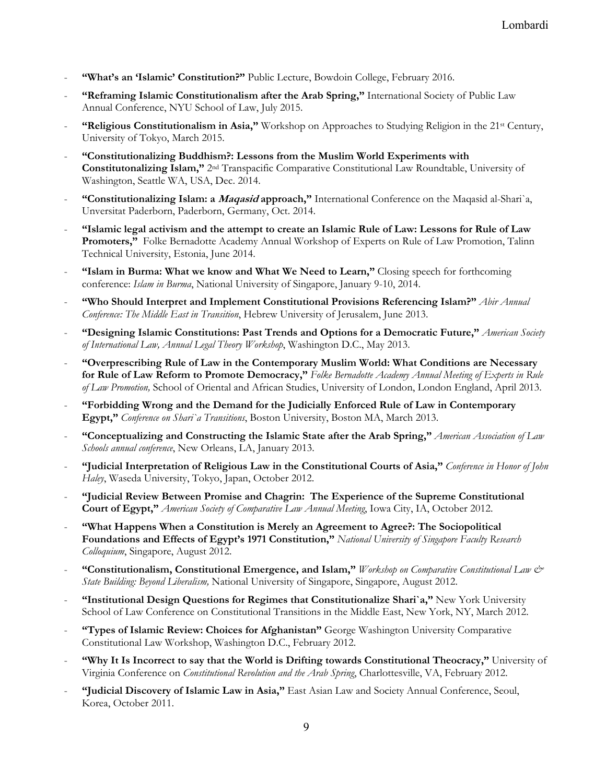- **"What's an 'Islamic' Constitution?"** Public Lecture, Bowdoin College, February 2016.
- **"Reframing Islamic Constitutionalism after the Arab Spring,"** International Society of Public Law Annual Conference, NYU School of Law, July 2015.
- **"Religious Constitutionalism in Asia,"** Workshop on Approaches to Studying Religion in the 21<sup>st</sup> Century, University of Tokyo, March 2015.
- **"Constitutionalizing Buddhism?: Lessons from the Muslim World Experiments with Constitutonalizing Islam,"** 2nd Transpacific Comparative Constitutional Law Roundtable, University of Washington, Seattle WA, USA, Dec. 2014.
- **"Constitutionalizing Islam: a Maqasid approach,"** International Conference on the Maqasid al-Shari`a, Unversitat Paderborn, Paderborn, Germany, Oct. 2014.
- **"Islamic legal activism and the attempt to create an Islamic Rule of Law: Lessons for Rule of Law Promoters,"** Folke Bernadotte Academy Annual Workshop of Experts on Rule of Law Promotion, Talinn Technical University, Estonia, June 2014.
- "Islam in Burma: What we know and What We Need to Learn," Closing speech for forthcoming conference: *Islam in Burma*, National University of Singapore, January 9-10, 2014.
- **"Who Should Interpret and Implement Constitutional Provisions Referencing Islam?"** *Abir Annual Conference: The Middle East in Transition*, Hebrew University of Jerusalem, June 2013.
- **"Designing Islamic Constitutions: Past Trends and Options for a Democratic Future,"** *American Society of International Law, Annual Legal Theory Workshop*, Washington D.C., May 2013.
- **"Overprescribing Rule of Law in the Contemporary Muslim World: What Conditions are Necessary for Rule of Law Reform to Promote Democracy,"** *Folke Bernadotte Academy Annual Meeting of Experts in Rule of Law Promotion,* School of Oriental and African Studies, University of London, London England, April 2013.
- **"Forbidding Wrong and the Demand for the Judicially Enforced Rule of Law in Contemporary Egypt,"** *Conference on Shari`a Transitions*, Boston University, Boston MA, March 2013.
- **"Conceptualizing and Constructing the Islamic State after the Arab Spring,"** *American Association of Law Schools annual conference*, New Orleans, LA, January 2013.
- **"Judicial Interpretation of Religious Law in the Constitutional Courts of Asia,"** *Conference in Honor of John Haley*, Waseda University, Tokyo, Japan, October 2012.
- **"Judicial Review Between Promise and Chagrin: The Experience of the Supreme Constitutional Court of Egypt,"** *American Society of Comparative Law Annual Meeting*, Iowa City, IA, October 2012.
- **"What Happens When a Constitution is Merely an Agreement to Agree?: The Sociopolitical Foundations and Effects of Egypt's 1971 Constitution,"** *National University of Singapore Faculty Research Colloquium*, Singapore, August 2012.
- **"Constitutionalism, Constitutional Emergence, and Islam,"** *Workshop on Comparative Constitutional Law & State Building: Beyond Liberalism,* National University of Singapore, Singapore, August 2012.
- **"Institutional Design Questions for Regimes that Constitutionalize Shari`a,"** New York University School of Law Conference on Constitutional Transitions in the Middle East, New York, NY, March 2012.
- **"Types of Islamic Review: Choices for Afghanistan"** George Washington University Comparative Constitutional Law Workshop, Washington D.C., February 2012.
- "Why It Is Incorrect to say that the World is Drifting towards Constitutional Theocracy," University of Virginia Conference on *Constitutional Revolution and the Arab Spring*, Charlottesville, VA, February 2012.
- **"Judicial Discovery of Islamic Law in Asia,"** East Asian Law and Society Annual Conference, Seoul, Korea, October 2011.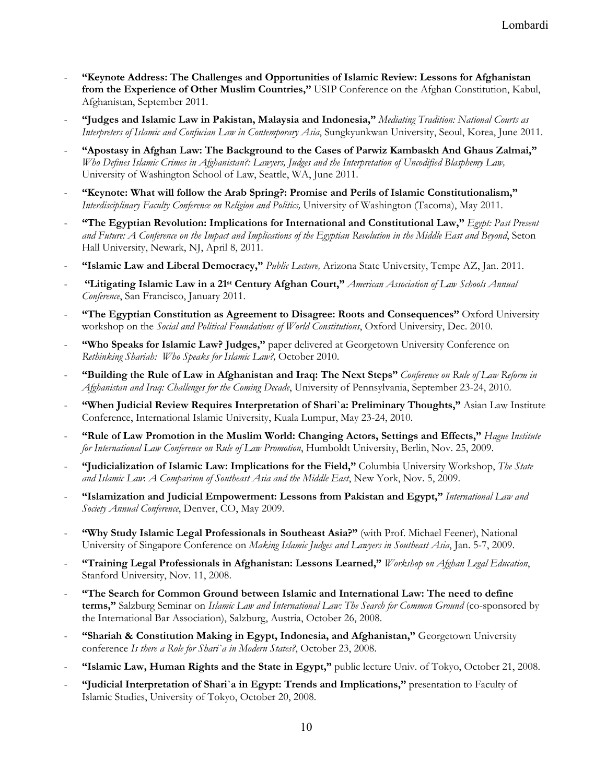- **"Keynote Address: The Challenges and Opportunities of Islamic Review: Lessons for Afghanistan from the Experience of Other Muslim Countries,"** USIP Conference on the Afghan Constitution, Kabul, Afghanistan, September 2011.
- **"Judges and Islamic Law in Pakistan, Malaysia and Indonesia,"** *Mediating Tradition: National Courts as Interpreters of Islamic and Confucian Law in Contemporary Asia*, Sungkyunkwan University, Seoul, Korea, June 2011.
- **"Apostasy in Afghan Law: The Background to the Cases of Parwiz Kambaskh And Ghaus Zalmai,"** *Who Defines Islamic Crimes in Afghanistan?: Lawyers, Judges and the Interpretation of Uncodified Blasphemy Law,* University of Washington School of Law, Seattle, WA, June 2011.
- **"Keynote: What will follow the Arab Spring?: Promise and Perils of Islamic Constitutionalism,"** *Interdisciplinary Faculty Conference on Religion and Politics,* University of Washington (Tacoma), May 2011.
- **"The Egyptian Revolution: Implications for International and Constitutional Law,"** *Egypt: Past Present and Future: A Conference on the Impact and Implications of the Egyptian Revolution in the Middle East and Beyond*, Seton Hall University, Newark, NJ, April 8, 2011.
- **"Islamic Law and Liberal Democracy,"** *Public Lecture,* Arizona State University, Tempe AZ, Jan. 2011.
- - **"Litigating Islamic Law in a 21st Century Afghan Court,"** *American Association of Law Schools Annual Conference*, San Francisco, January 2011.
- **"The Egyptian Constitution as Agreement to Disagree: Roots and Consequences"** Oxford University workshop on the *Social and Political Foundations of World Constitutions*, Oxford University, Dec. 2010.
- "Who Speaks for Islamic Law? Judges," paper delivered at Georgetown University Conference on *Rethinking Shariah: Who Speaks for Islamic Law?,* October 2010.
- **"Building the Rule of Law in Afghanistan and Iraq: The Next Steps"** *Conference on Rule of Law Reform in Afghanistan and Iraq: Challenges for the Coming Decade*, University of Pennsylvania, September 23-24, 2010.
- "When Judicial Review Requires Interpretation of Shari'a: Preliminary Thoughts," Asian Law Institute Conference, International Islamic University, Kuala Lumpur, May 23-24, 2010.
- **"Rule of Law Promotion in the Muslim World: Changing Actors, Settings and Effects,"** *Hague Institute for International Law Conference on Rule of Law Promotion*, Humboldt University, Berlin, Nov. 25, 2009.
- **"Judicialization of Islamic Law: Implications for the Field,"** Columbia University Workshop, *The State and Islamic Law*: *A Comparison of Southeast Asia and the Middle East*, New York, Nov. 5, 2009.
- **"Islamization and Judicial Empowerment: Lessons from Pakistan and Egypt,"** *International Law and Society Annual Conference*, Denver, CO, May 2009.
- "Why Study Islamic Legal Professionals in Southeast Asia?" (with Prof. Michael Feener), National University of Singapore Conference on *Making Islamic Judges and Lawyers in Southeast Asia*, Jan. 5-7, 2009.
- **"Training Legal Professionals in Afghanistan: Lessons Learned,"** *Workshop on Afghan Legal Education*, Stanford University, Nov. 11, 2008.
- **"The Search for Common Ground between Islamic and International Law: The need to define terms,"** Salzburg Seminar on *Islamic Law and International Law: The Search for Common Ground* (co-sponsored by the International Bar Association), Salzburg, Austria, October 26, 2008.
- **"Shariah & Constitution Making in Egypt, Indonesia, and Afghanistan,"** Georgetown University conference *Is there a Role for Shari`a in Modern States?*, October 23, 2008.
- **"Islamic Law, Human Rights and the State in Egypt,"** public lecture Univ. of Tokyo, October 21, 2008.
- **"Judicial Interpretation of Shari`a in Egypt: Trends and Implications,"** presentation to Faculty of Islamic Studies, University of Tokyo, October 20, 2008.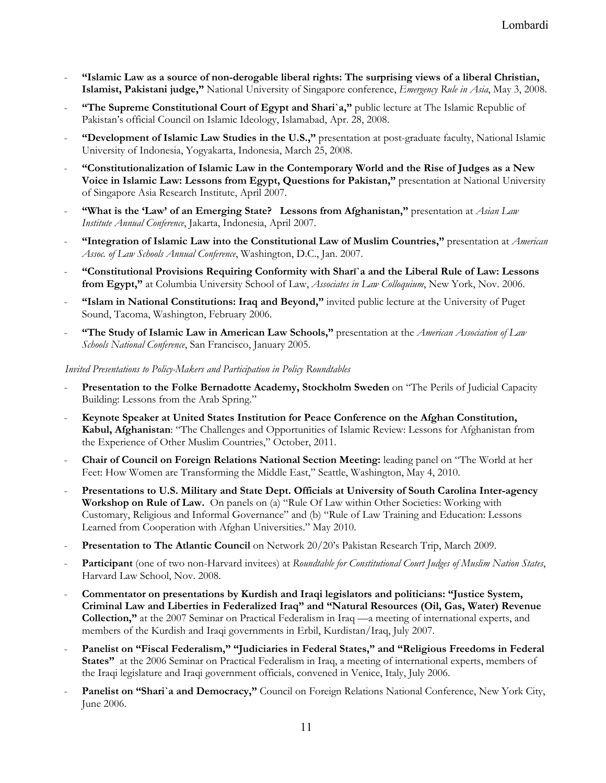- **"Islamic Law as a source of non-derogable liberal rights: The surprising views of a liberal Christian, Islamist, Pakistani judge,"** National University of Singapore conference, *Emergency Rule in Asia*, May 3, 2008.
- **"The Supreme Constitutional Court of Egypt and Shari`a,"** public lecture at The Islamic Republic of Pakistan's official Council on Islamic Ideology, Islamabad, Apr. 28, 2008.
- **"Development of Islamic Law Studies in the U.S.,"** presentation at post-graduate faculty, National Islamic University of Indonesia, Yogyakarta, Indonesia, March 25, 2008.
- **"Constitutionalization of Islamic Law in the Contemporary World and the Rise of Judges as a New Voice in Islamic Law: Lessons from Egypt, Questions for Pakistan,"** presentation at National University of Singapore Asia Research Institute, April 2007.
- **"What is the 'Law' of an Emerging State?** Lessons from Afghanistan," presentation at *Asian Law Institute Annual Conference*, Jakarta, Indonesia, April 2007.
- **"Integration of Islamic Law into the Constitutional Law of Muslim Countries,"** presentation at *American Assoc. of Law Schools Annual Conference*, Washington, D.C., Jan. 2007.
- **"Constitutional Provisions Requiring Conformity with Sharī`a and the Liberal Rule of Law: Lessons from Egypt,"** at Columbia University School of Law, *Associates in Law Colloquium*, New York, Nov. 2006.
- **"Islam in National Constitutions: Iraq and Beyond,"** invited public lecture at the University of Puget Sound, Tacoma, Washington, February 2006.
- **"The Study of Islamic Law in American Law Schools,"** presentation at the *American Association of Law Schools National Conference*, San Francisco, January 2005.

*Invited Presentations to Policy-Makers and Participation in Policy Roundtables*

- **Presentation to the Folke Bernadotte Academy, Stockholm Sweden** on "The Perils of Judicial Capacity Building: Lessons from the Arab Spring."
- **Keynote Speaker at United States Institution for Peace Conference on the Afghan Constitution, Kabul, Afghanistan**: "The Challenges and Opportunities of Islamic Review: Lessons for Afghanistan from the Experience of Other Muslim Countries," October, 2011.
- **Chair of Council on Foreign Relations National Section Meeting:** leading panel on "The World at her Feet: How Women are Transforming the Middle East," Seattle, Washington, May 4, 2010.
- **Presentations to U.S. Military and State Dept. Officials at University of South Carolina Inter-agency Workshop on Rule of Law.** On panels on (a) "Rule Of Law within Other Societies: Working with Customary, Religious and Informal Governance" and (b) "Rule of Law Training and Education: Lessons Learned from Cooperation with Afghan Universities." May 2010.
- **Presentation to The Atlantic Council** on Network 20/20's Pakistan Research Trip, March 2009.
- **Participant** (one of two non-Harvard invitees) at *Roundtable for Constitutional Court Judges of Muslim Nation States*, Harvard Law School, Nov. 2008.
- **Commentator on presentations by Kurdish and Iraqi legislators and politicians: "Justice System, Criminal Law and Liberties in Federalized Iraq" and "Natural Resources (Oil, Gas, Water) Revenue Collection,"** at the 2007 Seminar on Practical Federalism in Iraq —a meeting of international experts, and members of the Kurdish and Iraqi governments in Erbil, Kurdistan/Iraq, July 2007.
- Panelist on "Fiscal Federalism," "Judiciaries in Federal States," and "Religious Freedoms in Federal **States"** at the 2006 Seminar on Practical Federalism in Iraq, a meeting of international experts, members of the Iraqi legislature and Iraqi government officials, convened in Venice, Italy, July 2006.
- Panelist on "Shari'a and Democracy," Council on Foreign Relations National Conference, New York City, June 2006.